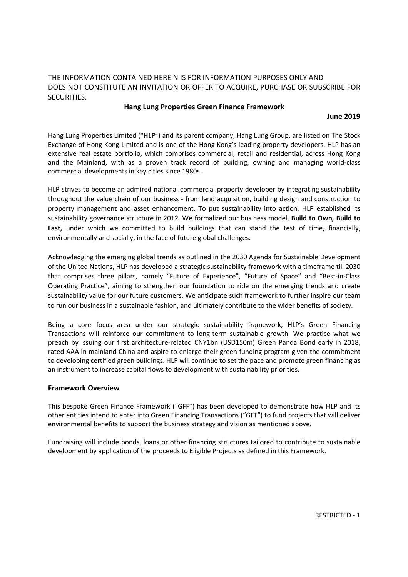## THE INFORMATION CONTAINED HEREIN IS FOR INFORMATION PURPOSES ONLY AND DOES NOT CONSTITUTE AN INVITATION OR OFFER TO ACQUIRE, PURCHASE OR SUBSCRIBE FOR SECURITIES.

### Hang Lung Properties Green Finance Framework

#### June 2019

Hang Lung Properties Limited ("HLP") and its parent company, Hang Lung Group, are listed on The Stock Exchange of Hong Kong Limited and is one of the Hong Kong's leading property developers. HLP has an extensive real estate portfolio, which comprises commercial, retail and residential, across Hong Kong and the Mainland, with as a proven track record of building, owning and managing world-class commercial developments in key cities since 1980s.

HLP strives to become an admired national commercial property developer by integrating sustainability throughout the value chain of our business - from land acquisition, building design and construction to property management and asset enhancement. To put sustainability into action, HLP established its sustainability governance structure in 2012. We formalized our business model, **Build to Own, Build to** Last, under which we committed to build buildings that can stand the test of time, financially, environmentally and socially, in the face of future global challenges.

Acknowledging the emerging global trends as outlined in the 2030 Agenda for Sustainable Development of the United Nations, HLP has developed a strategic sustainability framework with a timeframe till 2030 that comprises three pillars, namely "Future of Experience", "Future of Space" and "Best-in-Class Operating Practice", aiming to strengthen our foundation to ride on the emerging trends and create sustainability value for our future customers. We anticipate such framework to further inspire our team to run our business in a sustainable fashion, and ultimately contribute to the wider benefits of society.

Being a core focus area under our strategic sustainability framework, HLP's Green Financing Transactions will reinforce our commitment to long-term sustainable growth. We practice what we preach by issuing our first architecture-related CNY1bn (USD150m) Green Panda Bond early in 2018, rated AAA in mainland China and aspire to enlarge their green funding program given the commitment to developing certified green buildings. HLP will continue to set the pace and promote green financing as an instrument to increase capital flows to development with sustainability priorities.

#### Framework Overview

This bespoke Green Finance Framework ("GFF") has been developed to demonstrate how HLP and its other entities intend to enter into Green Financing Transactions ("GFT") to fund projects that will deliver environmental benefits to support the business strategy and vision as mentioned above.

Fundraising will include bonds, loans or other financing structures tailored to contribute to sustainable development by application of the proceeds to Eligible Projects as defined in this Framework.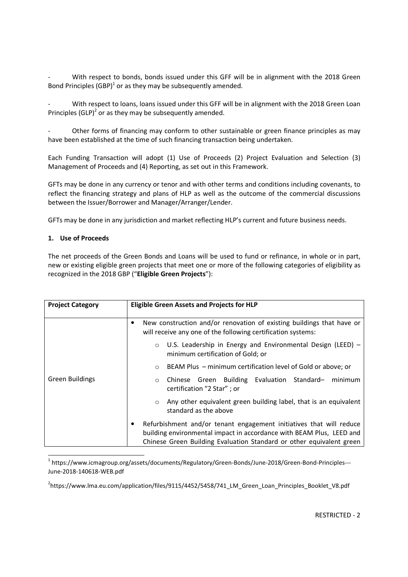With respect to bonds, bonds issued under this GFF will be in alignment with the 2018 Green Bond Principles  $(GBP)^1$  or as they may be subsequently amended.

With respect to loans, loans issued under this GFF will be in alignment with the 2018 Green Loan Principles (GLP)<sup>2</sup> or as they may be subsequently amended.

Other forms of financing may conform to other sustainable or green finance principles as may have been established at the time of such financing transaction being undertaken.

Each Funding Transaction will adopt (1) Use of Proceeds (2) Project Evaluation and Selection (3) Management of Proceeds and (4) Reporting, as set out in this Framework.

GFTs may be done in any currency or tenor and with other terms and conditions including covenants, to reflect the financing strategy and plans of HLP as well as the outcome of the commercial discussions between the Issuer/Borrower and Manager/Arranger/Lender.

GFTs may be done in any jurisdiction and market reflecting HLP's current and future business needs.

#### 1. Use of Proceeds

<u>.</u>

The net proceeds of the Green Bonds and Loans will be used to fund or refinance, in whole or in part, new or existing eligible green projects that meet one or more of the following categories of eligibility as recognized in the 2018 GBP ("Eligible Green Projects"):

| <b>Project Category</b> | <b>Eligible Green Assets and Projects for HLP</b>                                                                                                                                                                   |
|-------------------------|---------------------------------------------------------------------------------------------------------------------------------------------------------------------------------------------------------------------|
| Green Buildings         | New construction and/or renovation of existing buildings that have or<br>٠<br>will receive any one of the following certification systems:                                                                          |
|                         | U.S. Leadership in Energy and Environmental Design (LEED) -<br>$\circ$<br>minimum certification of Gold; or                                                                                                         |
|                         | BEAM Plus – minimum certification level of Gold or above; or<br>$\circ$                                                                                                                                             |
|                         | Chinese Green Building Evaluation Standard- minimum<br>$\circ$<br>certification "2 Star"; or                                                                                                                        |
|                         | Any other equivalent green building label, that is an equivalent<br>$\circ$<br>standard as the above                                                                                                                |
|                         | Refurbishment and/or tenant engagement initiatives that will reduce<br>building environmental impact in accordance with BEAM Plus, LEED and<br>Chinese Green Building Evaluation Standard or other equivalent green |

<sup>1</sup> https://www.icmagroup.org/assets/documents/Regulatory/Green-Bonds/June-2018/Green-Bond-Principles---June-2018-140618-WEB.pdf

<sup>2</sup>https://www.lma.eu.com/application/files/9115/4452/5458/741\_LM\_Green\_Loan\_Principles\_Booklet\_V8.pdf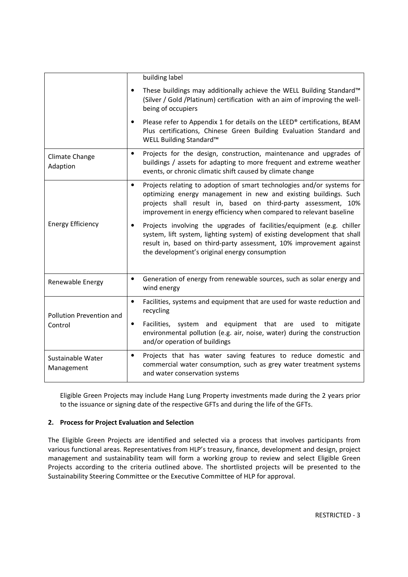|                                     | building label                                                                                                                                                                                                                                                                                   |
|-------------------------------------|--------------------------------------------------------------------------------------------------------------------------------------------------------------------------------------------------------------------------------------------------------------------------------------------------|
|                                     | These buildings may additionally achieve the WELL Building Standard™<br>$\bullet$<br>(Silver / Gold / Platinum) certification with an aim of improving the well-<br>being of occupiers                                                                                                           |
|                                     | Please refer to Appendix 1 for details on the LEED® certifications, BEAM<br>$\bullet$<br>Plus certifications, Chinese Green Building Evaluation Standard and<br>WELL Building Standard™                                                                                                          |
| Climate Change<br>Adaption          | Projects for the design, construction, maintenance and upgrades of<br>$\bullet$<br>buildings / assets for adapting to more frequent and extreme weather<br>events, or chronic climatic shift caused by climate change                                                                            |
| <b>Energy Efficiency</b>            | Projects relating to adoption of smart technologies and/or systems for<br>$\bullet$<br>optimizing energy management in new and existing buildings. Such<br>projects shall result in, based on third-party assessment, 10%<br>improvement in energy efficiency when compared to relevant baseline |
|                                     | Projects involving the upgrades of facilities/equipment (e.g. chiller<br>system, lift system, lighting system) of existing development that shall<br>result in, based on third-party assessment, 10% improvement against<br>the development's original energy consumption                        |
| Renewable Energy                    | Generation of energy from renewable sources, such as solar energy and<br>$\bullet$<br>wind energy                                                                                                                                                                                                |
| Pollution Prevention and<br>Control | Facilities, systems and equipment that are used for waste reduction and<br>$\bullet$<br>recycling                                                                                                                                                                                                |
|                                     | Facilities, system and equipment that are used to mitigate<br>$\bullet$<br>environmental pollution (e.g. air, noise, water) during the construction<br>and/or operation of buildings                                                                                                             |
| Sustainable Water<br>Management     | Projects that has water saving features to reduce domestic and<br>$\bullet$<br>commercial water consumption, such as grey water treatment systems<br>and water conservation systems                                                                                                              |

Eligible Green Projects may include Hang Lung Property investments made during the 2 years prior to the issuance or signing date of the respective GFTs and during the life of the GFTs.

## 2. Process for Project Evaluation and Selection

The Eligible Green Projects are identified and selected via a process that involves participants from various functional areas. Representatives from HLP's treasury, finance, development and design, project management and sustainability team will form a working group to review and select Eligible Green Projects according to the criteria outlined above. The shortlisted projects will be presented to the Sustainability Steering Committee or the Executive Committee of HLP for approval.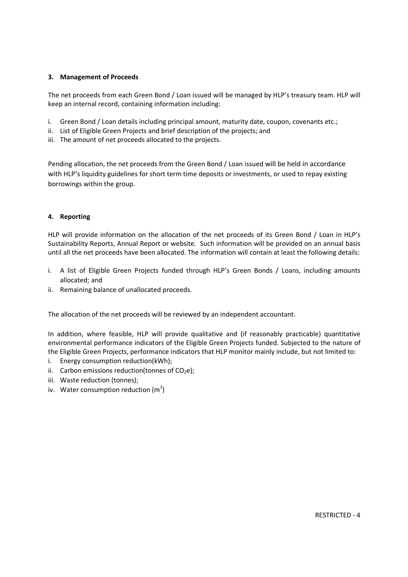#### 3. Management of Proceeds

The net proceeds from each Green Bond / Loan issued will be managed by HLP's treasury team. HLP will keep an internal record, containing information including:

- i. Green Bond / Loan details including principal amount, maturity date, coupon, covenants etc.;
- ii. List of Eligible Green Projects and brief description of the projects; and
- iii. The amount of net proceeds allocated to the projects.

Pending allocation, the net proceeds from the Green Bond / Loan issued will be held in accordance with HLP's liquidity guidelines for short term time deposits or investments, or used to repay existing borrowings within the group.

#### 4. Reporting

HLP will provide information on the allocation of the net proceeds of its Green Bond / Loan in HLP's Sustainability Reports, Annual Report or website. Such information will be provided on an annual basis until all the net proceeds have been allocated. The information will contain at least the following details:

- i. A list of Eligible Green Projects funded through HLP's Green Bonds / Loans, including amounts allocated; and
- ii. Remaining balance of unallocated proceeds.

The allocation of the net proceeds will be reviewed by an independent accountant.

In addition, where feasible, HLP will provide qualitative and (if reasonably practicable) quantitative environmental performance indicators of the Eligible Green Projects funded. Subjected to the nature of the Eligible Green Projects, performance indicators that HLP monitor mainly include, but not limited to:

- i. Energy consumption reduction(kWh);
- ii. Carbon emissions reduction(tonnes of  $CO<sub>2</sub>e$ );
- iii. Waste reduction (tonnes);
- iv. Water consumption reduction  $(m^3)$